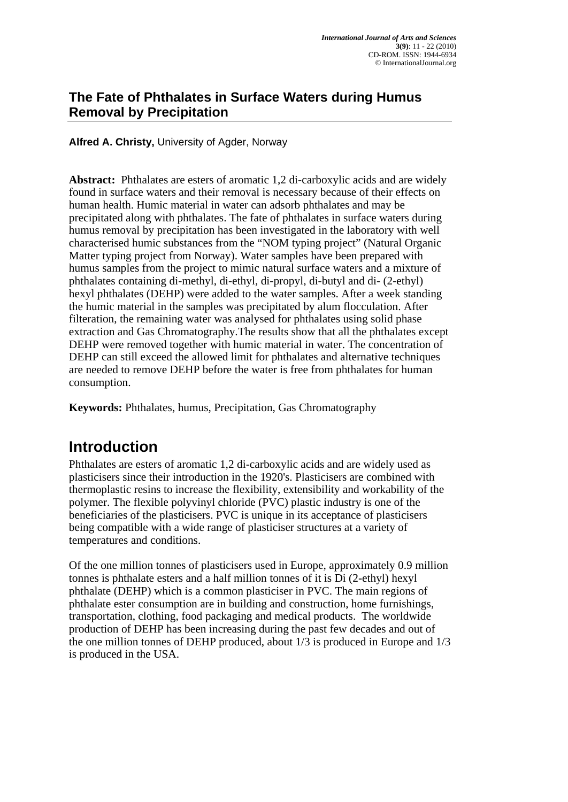### **The Fate of Phthalates in Surface Waters during Humus Removal by Precipitation**

**Alfred A. Christy,** University of Agder, Norway

**Abstract:** Phthalates are esters of aromatic 1,2 di-carboxylic acids and are widely found in surface waters and their removal is necessary because of their effects on human health. Humic material in water can adsorb phthalates and may be precipitated along with phthalates. The fate of phthalates in surface waters during humus removal by precipitation has been investigated in the laboratory with well characterised humic substances from the "NOM typing project" (Natural Organic Matter typing project from Norway). Water samples have been prepared with humus samples from the project to mimic natural surface waters and a mixture of phthalates containing di-methyl, di-ethyl, di-propyl, di-butyl and di- (2-ethyl) hexyl phthalates (DEHP) were added to the water samples. After a week standing the humic material in the samples was precipitated by alum flocculation. After filteration, the remaining water was analysed for phthalates using solid phase extraction and Gas Chromatography.The results show that all the phthalates except DEHP were removed together with humic material in water. The concentration of DEHP can still exceed the allowed limit for phthalates and alternative techniques are needed to remove DEHP before the water is free from phthalates for human consumption.

**Keywords:** Phthalates, humus, Precipitation, Gas Chromatography

## **Introduction**

Phthalates are esters of aromatic 1,2 di-carboxylic acids and are widely used as plasticisers since their introduction in the 1920's. Plasticisers are combined with thermoplastic resins to increase the flexibility, extensibility and workability of the polymer. The flexible polyvinyl chloride (PVC) plastic industry is one of the beneficiaries of the plasticisers. PVC is unique in its acceptance of plasticisers being compatible with a wide range of plasticiser structures at a variety of temperatures and conditions.

Of the one million tonnes of plasticisers used in Europe, approximately 0.9 million tonnes is phthalate esters and a half million tonnes of it is Di (2-ethyl) hexyl phthalate (DEHP) which is a common plasticiser in PVC. The main regions of phthalate ester consumption are in building and construction, home furnishings, transportation, clothing, food packaging and medical products. The worldwide production of DEHP has been increasing during the past few decades and out of the one million tonnes of DEHP produced, about 1/3 is produced in Europe and 1/3 is produced in the USA.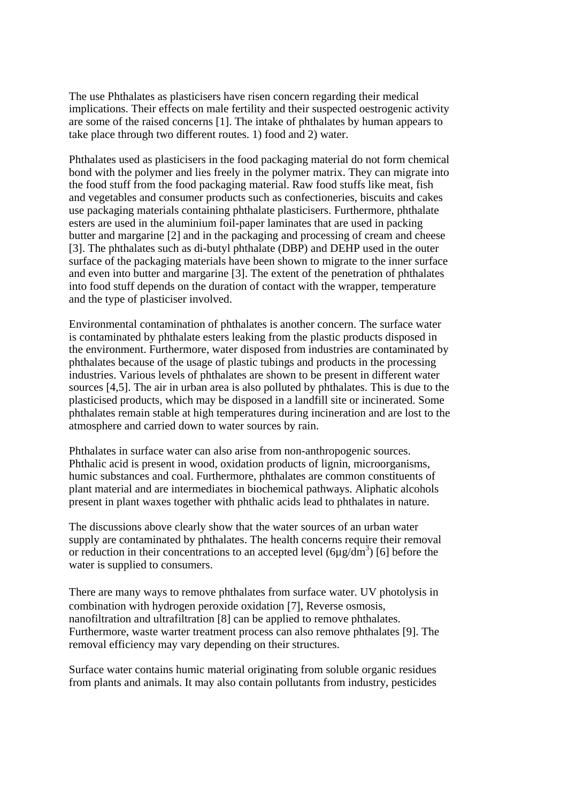The use Phthalates as plasticisers have risen concern regarding their medical implications. Their effects on male fertility and their suspected oestrogenic activity are some of the raised concerns [1]. The intake of phthalates by human appears to take place through two different routes. 1) food and 2) water.

Phthalates used as plasticisers in the food packaging material do not form chemical bond with the polymer and lies freely in the polymer matrix. They can migrate into the food stuff from the food packaging material. Raw food stuffs like meat, fish and vegetables and consumer products such as confectioneries, biscuits and cakes use packaging materials containing phthalate plasticisers. Furthermore, phthalate esters are used in the aluminium foil-paper laminates that are used in packing butter and margarine [2] and in the packaging and processing of cream and cheese [3]. The phthalates such as di-butyl phthalate (DBP) and DEHP used in the outer surface of the packaging materials have been shown to migrate to the inner surface and even into butter and margarine [3]. The extent of the penetration of phthalates into food stuff depends on the duration of contact with the wrapper, temperature and the type of plasticiser involved.

Environmental contamination of phthalates is another concern. The surface water is contaminated by phthalate esters leaking from the plastic products disposed in the environment. Furthermore, water disposed from industries are contaminated by phthalates because of the usage of plastic tubings and products in the processing industries. Various levels of phthalates are shown to be present in different water sources [4,5]. The air in urban area is also polluted by phthalates. This is due to the plasticised products, which may be disposed in a landfill site or incinerated. Some phthalates remain stable at high temperatures during incineration and are lost to the atmosphere and carried down to water sources by rain.

Phthalates in surface water can also arise from non-anthropogenic sources. Phthalic acid is present in wood, oxidation products of lignin, microorganisms, humic substances and coal. Furthermore, phthalates are common constituents of plant material and are intermediates in biochemical pathways. Aliphatic alcohols present in plant waxes together with phthalic acids lead to phthalates in nature.

The discussions above clearly show that the water sources of an urban water supply are contaminated by phthalates. The health concerns require their removal or reduction in their concentrations to an accepted level  $(6\mu g/dm^3)$  [6] before the water is supplied to consumers.

There are many ways to remove phthalates from surface water. UV photolysis in combination with hydrogen peroxide oxidation [7], Reverse osmosis, nanofiltration and ultrafiltration [8] can be applied to remove phthalates. Furthermore, waste warter treatment process can also remove phthalates [9]. The removal efficiency may vary depending on their structures.

Surface water contains humic material originating from soluble organic residues from plants and animals. It may also contain pollutants from industry, pesticides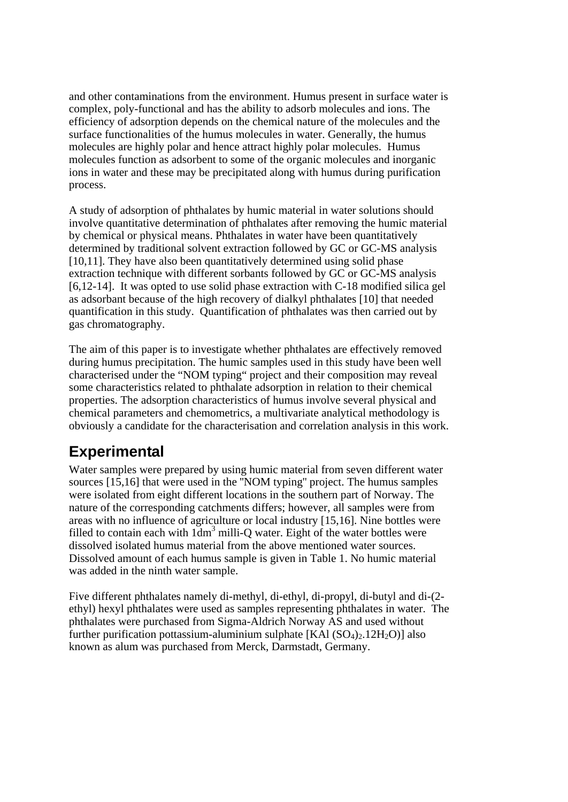and other contaminations from the environment. Humus present in surface water is complex, poly-functional and has the ability to adsorb molecules and ions. The efficiency of adsorption depends on the chemical nature of the molecules and the surface functionalities of the humus molecules in water. Generally, the humus molecules are highly polar and hence attract highly polar molecules. Humus molecules function as adsorbent to some of the organic molecules and inorganic ions in water and these may be precipitated along with humus during purification process.

A study of adsorption of phthalates by humic material in water solutions should involve quantitative determination of phthalates after removing the humic material by chemical or physical means. Phthalates in water have been quantitatively determined by traditional solvent extraction followed by GC or GC-MS analysis [10,11]. They have also been quantitatively determined using solid phase extraction technique with different sorbants followed by GC or GC-MS analysis [6,12-14]. It was opted to use solid phase extraction with C-18 modified silica gel as adsorbant because of the high recovery of dialkyl phthalates [10] that needed quantification in this study. Quantification of phthalates was then carried out by gas chromatography.

The aim of this paper is to investigate whether phthalates are effectively removed during humus precipitation. The humic samples used in this study have been well characterised under the "NOM typing" project and their composition may reveal some characteristics related to phthalate adsorption in relation to their chemical properties. The adsorption characteristics of humus involve several physical and chemical parameters and chemometrics, a multivariate analytical methodology is obviously a candidate for the characterisation and correlation analysis in this work.

## **Experimental**

Water samples were prepared by using humic material from seven different water sources [15,16] that were used in the ''NOM typing'' project. The humus samples were isolated from eight different locations in the southern part of Norway. The nature of the corresponding catchments differs; however, all samples were from areas with no influence of agriculture or local industry [15,16]. Nine bottles were filled to contain each with  $1dm<sup>3</sup>$  milli-Q water. Eight of the water bottles were dissolved isolated humus material from the above mentioned water sources. Dissolved amount of each humus sample is given in Table 1. No humic material was added in the ninth water sample.

Five different phthalates namely di-methyl, di-ethyl, di-propyl, di-butyl and di-(2 ethyl) hexyl phthalates were used as samples representing phthalates in water. The phthalates were purchased from Sigma-Aldrich Norway AS and used without further purification pottassium-aluminium sulphate  $[KA1(SO<sub>4</sub>)<sub>2</sub>$ .  $12H<sub>2</sub>O$  $]$  also known as alum was purchased from Merck, Darmstadt, Germany.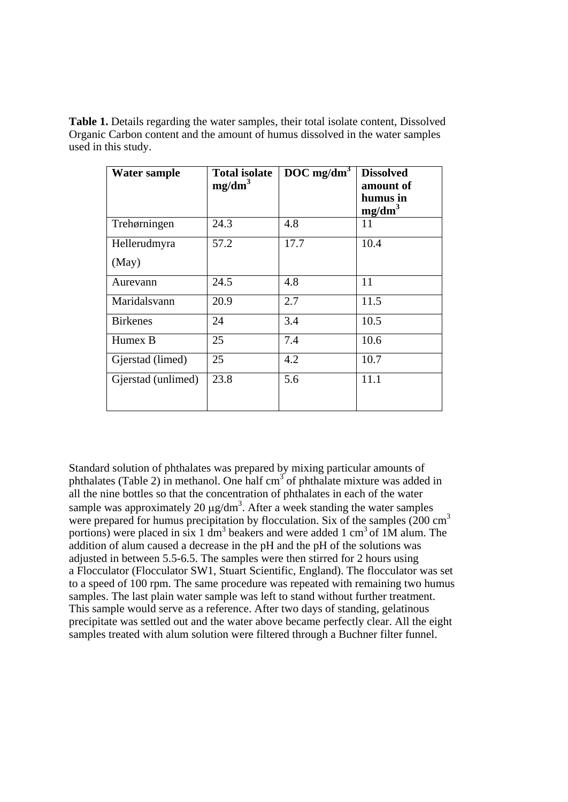**Table 1.** Details regarding the water samples, their total isolate content, Dissolved Organic Carbon content and the amount of humus dissolved in the water samples used in this study.

| <b>Water sample</b>   | <b>Total isolate</b><br>mg/dm <sup>3</sup> | $DOC$ mg/dm <sup>3</sup> | <b>Dissolved</b><br>amount of<br>humus in<br>mg/dm <sup>3</sup> |
|-----------------------|--------------------------------------------|--------------------------|-----------------------------------------------------------------|
| Trehørningen          | 24.3                                       | 4.8                      | 11                                                              |
| Hellerudmyra<br>(May) | 57.2                                       | 17.7                     | 10.4                                                            |
| Aurevann              | 24.5                                       | 4.8                      | 11                                                              |
| Maridalsvann          | 20.9                                       | 2.7                      | 11.5                                                            |
| <b>Birkenes</b>       | 24                                         | 3.4                      | 10.5                                                            |
| Humex B               | 25                                         | 7.4                      | 10.6                                                            |
| Gjerstad (limed)      | 25                                         | 4.2                      | 10.7                                                            |
| Gjerstad (unlimed)    | 23.8                                       | 5.6                      | 11.1                                                            |

Standard solution of phthalates was prepared by mixing particular amounts of phthalates (Table 2) in methanol. One half  $cm<sup>3</sup>$  of phthalate mixture was added in all the nine bottles so that the concentration of phthalates in each of the water sample was approximately 20  $\mu$ g/dm<sup>3</sup>. After a week standing the water samples were prepared for humus precipitation by flocculation. Six of the samples  $(200 \text{ cm}^3)$ portions) were placed in six 1  $\text{dm}^3$  beakers and were added 1 cm<sup>3</sup> of 1M alum. The addition of alum caused a decrease in the pH and the pH of the solutions was adjusted in between 5.5-6.5. The samples were then stirred for 2 hours using a Flocculator (Flocculator SW1, Stuart Scientific, England). The flocculator was set to a speed of 100 rpm. The same procedure was repeated with remaining two humus samples. The last plain water sample was left to stand without further treatment. This sample would serve as a reference. After two days of standing, gelatinous precipitate was settled out and the water above became perfectly clear. All the eight samples treated with alum solution were filtered through a Buchner filter funnel.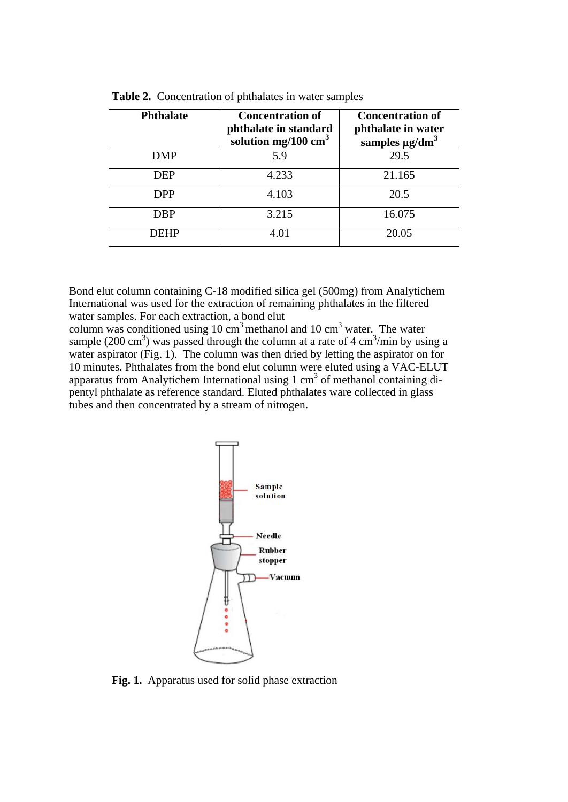| <b>Phthalate</b> | <b>Concentration of</b><br>phthalate in standard<br>solution mg/100 $\text{cm}^3$ | <b>Concentration of</b><br>phthalate in water<br>samples $\mu$ g/dm <sup>3</sup> |  |
|------------------|-----------------------------------------------------------------------------------|----------------------------------------------------------------------------------|--|
| <b>DMP</b>       | 5.9                                                                               | 29.5                                                                             |  |
| <b>DEP</b>       | 4.233                                                                             | 21.165                                                                           |  |
| <b>DPP</b>       | 4.103                                                                             | 20.5                                                                             |  |
| <b>DBP</b>       | 3.215                                                                             | 16.075                                                                           |  |
| <b>DEHP</b>      | 4.01                                                                              | 20.05                                                                            |  |

**Table 2.** Concentration of phthalates in water samples

Bond elut column containing C-18 modified silica gel (500mg) from Analytichem International was used for the extraction of remaining phthalates in the filtered water samples. For each extraction, a bond elut

column was conditioned using 10  $\text{cm}^3$  methanol and 10  $\text{cm}^3$  water. The water sample (200 cm<sup>3</sup>) was passed through the column at a rate of 4 cm<sup>3</sup>/min by using a water aspirator (Fig. 1). The column was then dried by letting the aspirator on for 10 minutes. Phthalates from the bond elut column were eluted using a VAC-ELUT apparatus from Analytichem International using  $1 \text{ cm}^3$  of methanol containing dipentyl phthalate as reference standard. Eluted phthalates ware collected in glass tubes and then concentrated by a stream of nitrogen.



**Fig. 1.** Apparatus used for solid phase extraction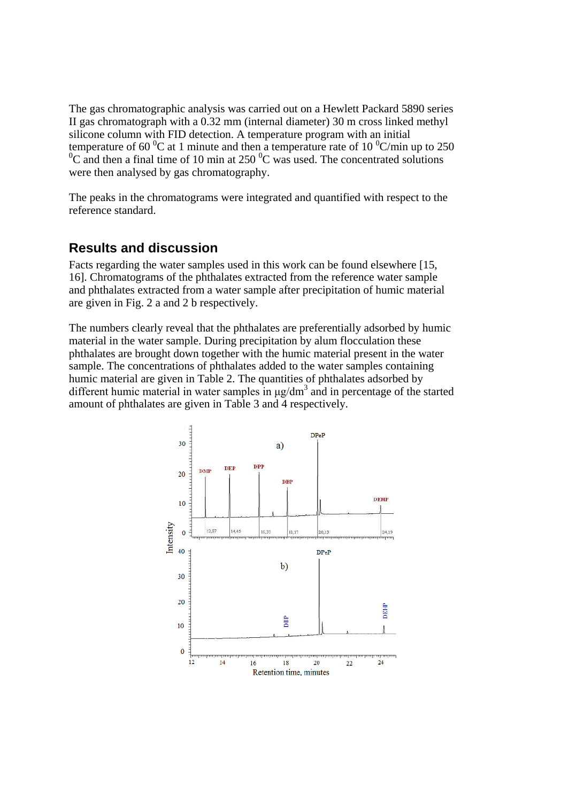The gas chromatographic analysis was carried out on a Hewlett Packard 5890 series II gas chromatograph with a 0.32 mm (internal diameter) 30 m cross linked methyl silicone column with FID detection. A temperature program with an initial temperature of 60  $^{0}C$  at 1 minute and then a temperature rate of 10  $^{0}C/m$  in up to 250  $^{0}C$  and then a final time of 10 min at 250  $^{0}C$  was used. The concentrated solutions C and then a final time of 10 min at 250 $\mathrm{^{0}C}$  was used. The concentrated solutions were then analysed by gas chromatography.

The peaks in the chromatograms were integrated and quantified with respect to the reference standard.

#### **Results and discussion**

Facts regarding the water samples used in this work can be found elsewhere [15, 16]. Chromatograms of the phthalates extracted from the reference water sample and phthalates extracted from a water sample after precipitation of humic material are given in Fig. 2 a and 2 b respectively.

The numbers clearly reveal that the phthalates are preferentially adsorbed by humic material in the water sample. During precipitation by alum flocculation these phthalates are brought down together with the humic material present in the water sample. The concentrations of phthalates added to the water samples containing humic material are given in Table 2. The quantities of phthalates adsorbed by different humic material in water samples in  $\mu$ g/dm<sup>3</sup> and in percentage of the started amount of phthalates are given in Table 3 and 4 respectively.

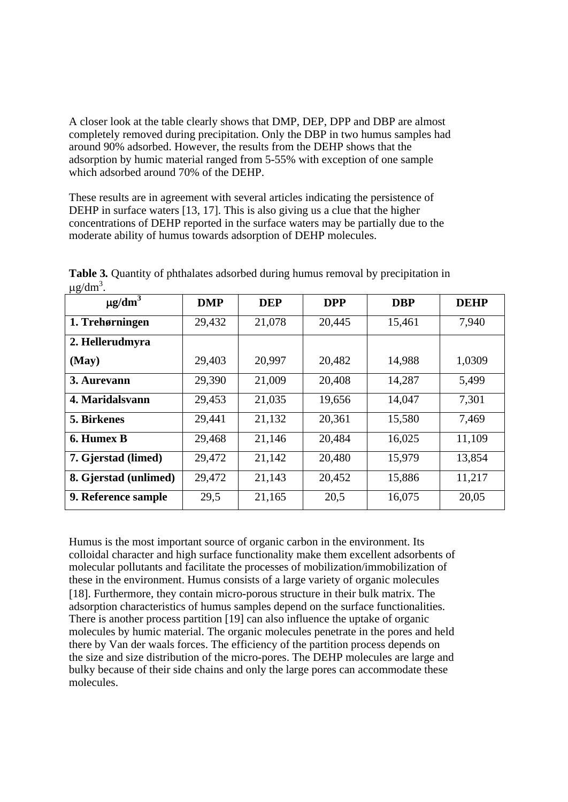A closer look at the table clearly shows that DMP, DEP, DPP and DBP are almost completely removed during precipitation. Only the DBP in two humus samples had around 90% adsorbed. However, the results from the DEHP shows that the adsorption by humic material ranged from 5-55% with exception of one sample which adsorbed around 70% of the DEHP.

These results are in agreement with several articles indicating the persistence of DEHP in surface waters [13, 17]. This is also giving us a clue that the higher concentrations of DEHP reported in the surface waters may be partially due to the moderate ability of humus towards adsorption of DEHP molecules.

| $\mu$ g/u $\mu$ .       |            |            |            |            |             |
|-------------------------|------------|------------|------------|------------|-------------|
| $\mu$ g/dm <sup>3</sup> | <b>DMP</b> | <b>DEP</b> | <b>DPP</b> | <b>DBP</b> | <b>DEHP</b> |
| 1. Trehørningen         | 29,432     | 21,078     | 20,445     | 15,461     | 7,940       |
| 2. Hellerudmyra         |            |            |            |            |             |
| (May)                   | 29,403     | 20,997     | 20,482     | 14,988     | 1,0309      |
| 3. Aurevann             | 29,390     | 21,009     | 20,408     | 14,287     | 5,499       |
| 4. Maridalsvann         | 29,453     | 21,035     | 19,656     | 14,047     | 7,301       |
| 5. Birkenes             | 29,441     | 21,132     | 20,361     | 15,580     | 7,469       |
| 6. Humex B              | 29,468     | 21,146     | 20,484     | 16,025     | 11,109      |
| 7. Gjerstad (limed)     | 29,472     | 21,142     | 20,480     | 15,979     | 13,854      |
| 8. Gjerstad (unlimed)   | 29,472     | 21,143     | 20,452     | 15,886     | 11,217      |
| 9. Reference sample     | 29,5       | 21,165     | 20,5       | 16,075     | 20,05       |

**Table 3***.* Quantity of phthalates adsorbed during humus removal by precipitation in  $\mu$ g/dm<sup>3</sup>.

Humus is the most important source of organic carbon in the environment. Its colloidal character and high surface functionality make them excellent adsorbents of molecular pollutants and facilitate the processes of mobilization/immobilization of these in the environment. Humus consists of a large variety of organic molecules [18]. Furthermore, they contain micro-porous structure in their bulk matrix. The adsorption characteristics of humus samples depend on the surface functionalities. There is another process partition [19] can also influence the uptake of organic molecules by humic material. The organic molecules penetrate in the pores and held there by Van der waals forces. The efficiency of the partition process depends on the size and size distribution of the micro-pores. The DEHP molecules are large and bulky because of their side chains and only the large pores can accommodate these molecules.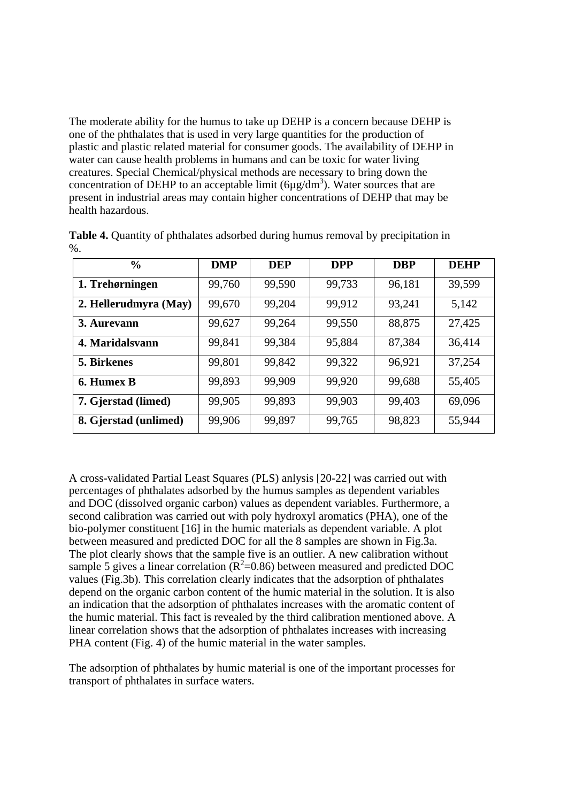The moderate ability for the humus to take up DEHP is a concern because DEHP is one of the phthalates that is used in very large quantities for the production of plastic and plastic related material for consumer goods. The availability of DEHP in water can cause health problems in humans and can be toxic for water living creatures. Special Chemical/physical methods are necessary to bring down the concentration of DEHP to an acceptable limit  $(6\mu g/dm^3)$ . Water sources that are present in industrial areas may contain higher concentrations of DEHP that may be health hazardous.

| $\frac{0}{0}$         | <b>DMP</b> | <b>DEP</b> | <b>DPP</b> | <b>DBP</b> | <b>DEHP</b> |
|-----------------------|------------|------------|------------|------------|-------------|
| 1. Trehørningen       | 99,760     | 99,590     | 99,733     | 96,181     | 39,599      |
| 2. Hellerudmyra (May) | 99,670     | 99,204     | 99,912     | 93,241     | 5,142       |
| 3. Aurevann           | 99,627     | 99,264     | 99,550     | 88,875     | 27,425      |
| 4. Maridalsvann       | 99,841     | 99,384     | 95,884     | 87,384     | 36,414      |
| <b>5. Birkenes</b>    | 99,801     | 99,842     | 99,322     | 96,921     | 37,254      |
| 6. Humex B            | 99,893     | 99,909     | 99,920     | 99,688     | 55,405      |
| 7. Gjerstad (limed)   | 99,905     | 99,893     | 99,903     | 99,403     | 69,096      |
| 8. Gjerstad (unlimed) | 99,906     | 99,897     | 99,765     | 98,823     | 55,944      |

**Table 4.** Quantity of phthalates adsorbed during humus removal by precipitation in  $%$ .

A cross-validated Partial Least Squares (PLS) anlysis [20-22] was carried out with percentages of phthalates adsorbed by the humus samples as dependent variables and DOC (dissolved organic carbon) values as dependent variables. Furthermore, a second calibration was carried out with poly hydroxyl aromatics (PHA), one of the bio-polymer constituent [16] in the humic materials as dependent variable. A plot between measured and predicted DOC for all the 8 samples are shown in Fig.3a. The plot clearly shows that the sample five is an outlier. A new calibration without sample 5 gives a linear correlation  $(R^2=0.86)$  between measured and predicted DOC values (Fig.3b). This correlation clearly indicates that the adsorption of phthalates depend on the organic carbon content of the humic material in the solution. It is also an indication that the adsorption of phthalates increases with the aromatic content of the humic material. This fact is revealed by the third calibration mentioned above. A linear correlation shows that the adsorption of phthalates increases with increasing PHA content (Fig. 4) of the humic material in the water samples.

The adsorption of phthalates by humic material is one of the important processes for transport of phthalates in surface waters.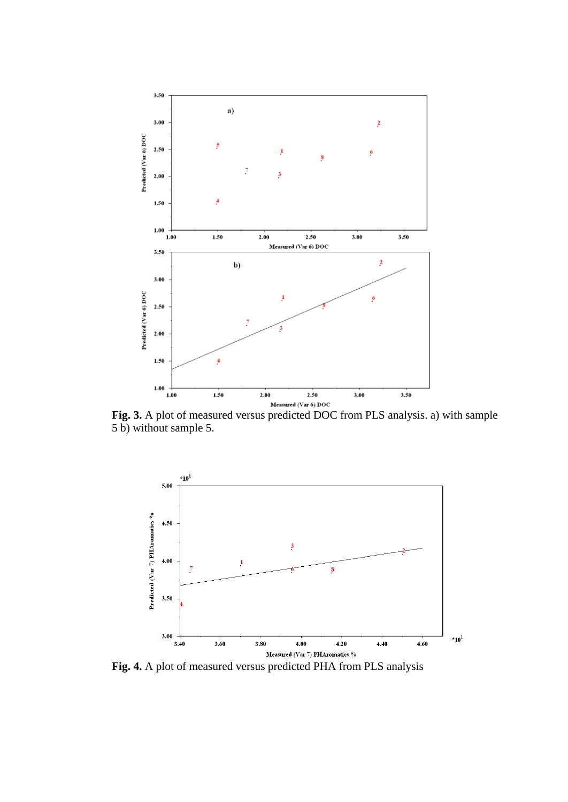

**Fig. 3.** A plot of measured versus predicted DOC from PLS analysis. a) with sample 5 b) without sample 5.



**Fig. 4.** A plot of measured versus predicted PHA from PLS analysis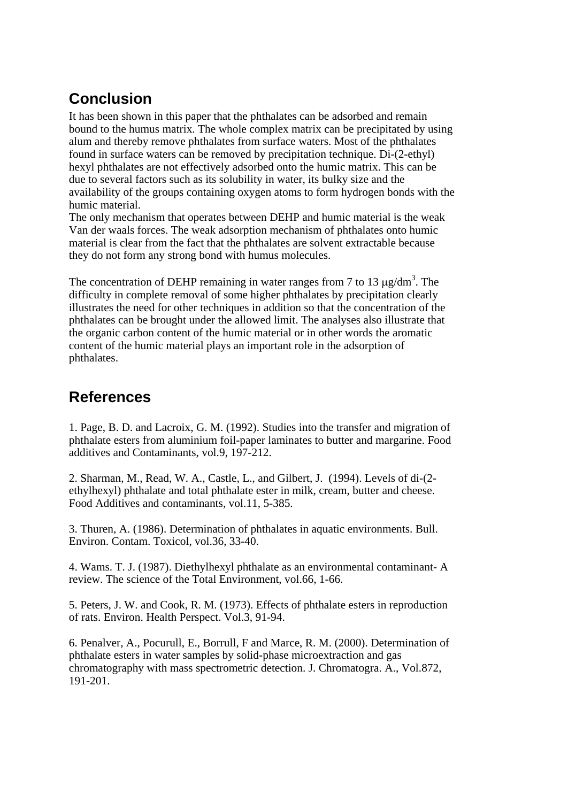# **Conclusion**

It has been shown in this paper that the phthalates can be adsorbed and remain bound to the humus matrix. The whole complex matrix can be precipitated by using alum and thereby remove phthalates from surface waters. Most of the phthalates found in surface waters can be removed by precipitation technique. Di-(2-ethyl) hexyl phthalates are not effectively adsorbed onto the humic matrix. This can be due to several factors such as its solubility in water, its bulky size and the availability of the groups containing oxygen atoms to form hydrogen bonds with the humic material.

The only mechanism that operates between DEHP and humic material is the weak Van der waals forces. The weak adsorption mechanism of phthalates onto humic material is clear from the fact that the phthalates are solvent extractable because they do not form any strong bond with humus molecules.

The concentration of DEHP remaining in water ranges from 7 to 13  $\mu$ g/dm<sup>3</sup>. The difficulty in complete removal of some higher phthalates by precipitation clearly illustrates the need for other techniques in addition so that the concentration of the phthalates can be brought under the allowed limit. The analyses also illustrate that the organic carbon content of the humic material or in other words the aromatic content of the humic material plays an important role in the adsorption of phthalates.

## **References**

1. Page, B. D. and Lacroix, G. M. (1992). Studies into the transfer and migration of phthalate esters from aluminium foil-paper laminates to butter and margarine. Food additives and Contaminants, vol.9, 197-212.

2. Sharman, M., Read, W. A., Castle, L., and Gilbert, J. (1994). Levels of di-(2 ethylhexyl) phthalate and total phthalate ester in milk, cream, butter and cheese. Food Additives and contaminants, vol.11, 5-385.

3. Thuren, A. (1986). Determination of phthalates in aquatic environments. Bull. Environ. Contam. Toxicol, vol.36, 33-40.

4. Wams. T. J. (1987). Diethylhexyl phthalate as an environmental contaminant- A review. The science of the Total Environment, vol.66, 1-66.

5. Peters, J. W. and Cook, R. M. (1973). Effects of phthalate esters in reproduction of rats. Environ. Health Perspect. Vol.3, 91-94.

6. Penalver, A., Pocurull, E., Borrull, F and Marce, R. M. (2000). Determination of phthalate esters in water samples by solid-phase microextraction and gas chromatography with mass spectrometric detection. J. Chromatogra. A., Vol.872, 191-201.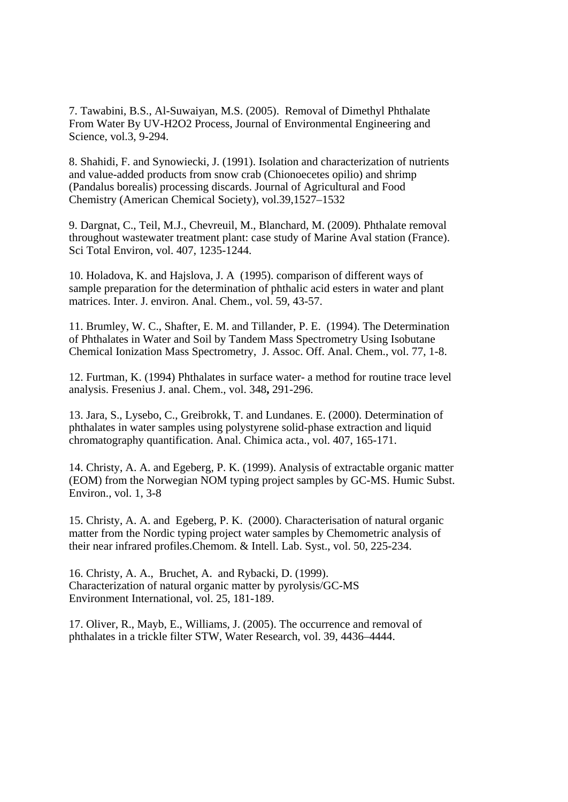7. Tawabini, B.S., Al-Suwaiyan, M.S. (2005). Removal of Dimethyl Phthalate From Water By UV-H2O2 Process, Journal of Environmental Engineering and Science, vol.3, 9-294.

8. Shahidi, F. and Synowiecki, J. (1991). Isolation and characterization of nutrients and value-added products from snow crab (Chionoecetes opilio) and shrimp (Pandalus borealis) processing discards. Journal of Agricultural and Food Chemistry (American Chemical Society), vol.39,1527–1532

9. Dargnat, C., Teil, M.J., Chevreuil, M., Blanchard, M. (2009). Phthalate removal throughout wastewater treatment plant: case study of Marine Aval station (France). Sci Total Environ, vol. 407, 1235-1244.

10. Holadova, K. and Hajslova, J. A (1995). comparison of different ways of sample preparation for the determination of phthalic acid esters in water and plant matrices. Inter. J. environ. Anal. Chem., vol. 59, 43-57.

11. Brumley, W. C., Shafter, E. M. and Tillander, P. E. (1994). The Determination of Phthalates in Water and Soil by Tandem Mass Spectrometry Using Isobutane Chemical Ionization Mass Spectrometry, J. Assoc. Off. Anal. Chem., vol. 77, 1-8.

12. Furtman, K. (1994) Phthalates in surface water- a method for routine trace level analysis. Fresenius J. anal. Chem., vol. 348**,** 291-296.

13. Jara, S., Lysebo, C., Greibrokk, T. and Lundanes. E. (2000). Determination of phthalates in water samples using polystyrene solid-phase extraction and liquid chromatography quantification. Anal. Chimica acta., vol. 407, 165-171.

14. Christy, A. A. and Egeberg, P. K. (1999). Analysis of extractable organic matter (EOM) from the Norwegian NOM typing project samples by GC-MS. Humic Subst. Environ., vol. 1, 3-8

15. Christy, A. A. and Egeberg, P. K. (2000). Characterisation of natural organic matter from the Nordic typing project water samples by Chemometric analysis of their near infrared profiles.Chemom. & Intell. Lab. Syst., vol. 50, 225-234.

16. Christy, A. A., Bruchet, A. and Rybacki, D. (1999). Characterization of natural organic matter by pyrolysis/GC-MS Environment International, vol. 25, 181-189.

17. Oliver, R., Mayb, E., Williams, J. (2005). The occurrence and removal of phthalates in a trickle filter STW, Water Research, vol. 39, 4436–4444.